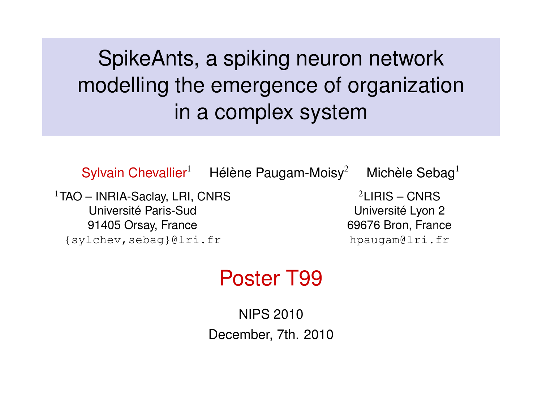# SpikeAnts, a spiking neuron network modelling the emergence of organization in a complex system

Sylvain Chevallier<sup>1</sup> Hélène Paugam-Moisy<sup>2</sup> Michèle Sebag<sup>1</sup> <sup>1</sup>TAO – INRIA-Saclay, LRI, CNRS Université Paris-Sud 91405 Orsay, France {sylchev,sebag}@lri.fr

 $2$ LIRIS – CNRS Université Lyon 2 69676 Bron, France hpaugam@lri.fr

### Poster T99

NIPS 2010 December, 7th. 2010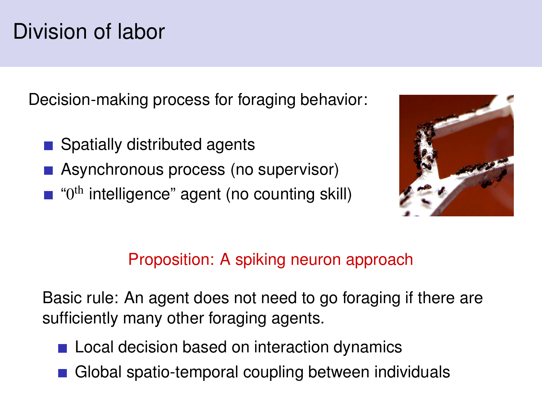# Division of labor

Decision-making process for foraging behavior:

- Spatially distributed agents
- Asynchronous process (no supervisor)
- "0<sup>th</sup> intelligence" agent (no counting skill)



#### Proposition: A spiking neuron approach

Basic rule: An agent does not need to go foraging if there are sufficiently many other foraging agents.

- Local decision based on interaction dynamics
- Global spatio-temporal coupling between individuals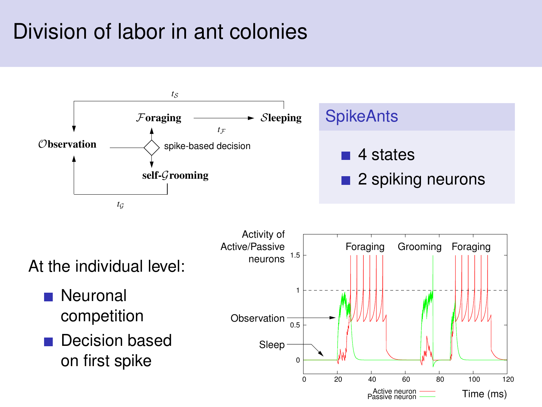# Division of labor in ant colonies